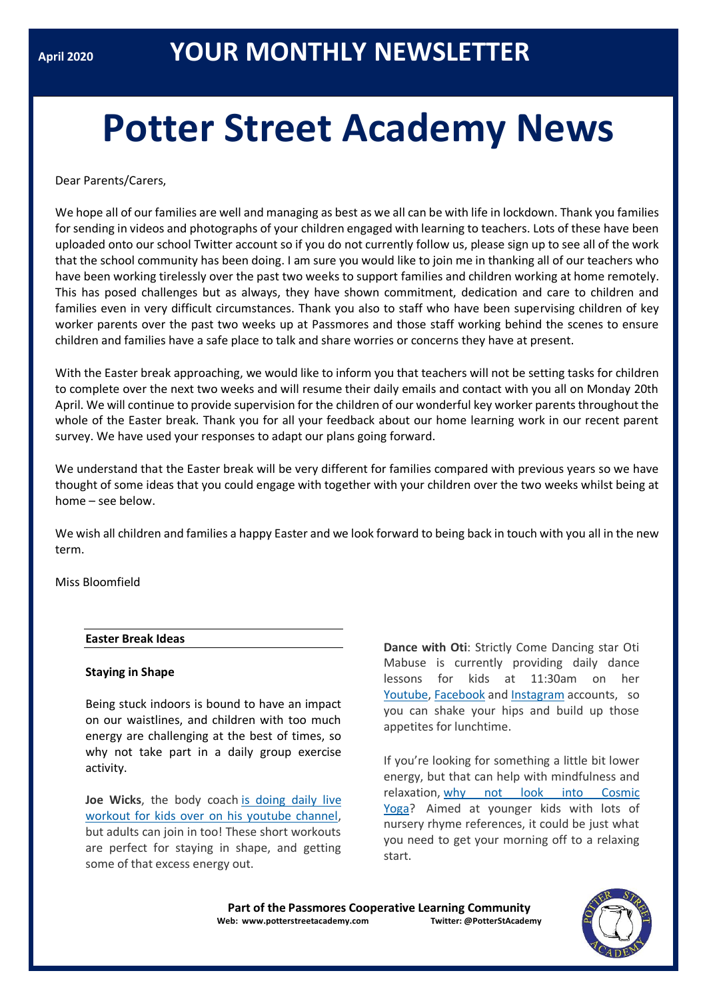# **Potter Street Academy News**

Dear Parents/Carers,

We hope all of our families are well and managing as best as we all can be with life in lockdown. Thank you families for sending in videos and photographs of your children engaged with learning to teachers. Lots of these have been uploaded onto our school Twitter account so if you do not currently follow us, please sign up to see all of the work that the school community has been doing. I am sure you would like to join me in thanking all of our teachers who have been working tirelessly over the past two weeks to support families and children working at home remotely. This has posed challenges but as always, they have shown commitment, dedication and care to children and families even in very difficult circumstances. Thank you also to staff who have been supervising children of key worker parents over the past two weeks up at Passmores and those staff working behind the scenes to ensure children and families have a safe place to talk and share worries or concerns they have at present.

With the Easter break approaching, we would like to inform you that teachers will not be setting tasks for children to complete over the next two weeks and will resume their daily emails and contact with you all on Monday 20th April. We will continue to provide supervision for the children of our wonderful key worker parents throughout the whole of the Easter break. Thank you for all your feedback about our home learning work in our recent parent survey. We have used your responses to adapt our plans going forward.

We understand that the Easter break will be very different for families compared with previous years so we have thought of some ideas that you could engage with together with your children over the two weeks whilst being at home – see below.

We wish all children and families a happy Easter and we look forward to being back in touch with you all in the new term.

Miss Bloomfield

# **Easter Break Ideas**

#### **Staying in Shape**

Being stuck indoors is bound to have an impact on our waistlines, and children with too much energy are challenging at the best of times, so why not take part in a daily group exercise activity.

**Joe Wicks**, the body coach [is doing daily live](https://www.youtube.com/watch?v=K6r99N3kXME)  [workout for kids over on his youtube channel,](https://www.youtube.com/watch?v=K6r99N3kXME) but adults can join in too! These short workouts are perfect for staying in shape, and getting some of that excess energy out.

**Dance with Oti**: Strictly Come Dancing star Oti Mabuse is currently providing daily dance lessons for kids at 11:30am on her [Youtube,](https://www.youtube.com/channel/UC58aowNEXHHnflR_5YTtP4g) [Facebook](https://www.facebook.com/OtiMabuse/) and [Instagram](https://www.instagram.com/otimabuse/?hl=en) accounts, so you can shake your hips and build up those appetites for lunchtime.

If you're looking for something a little bit lower energy, but that can help with mindfulness and relaxation, [why not look into Cosmic](https://www.youtube.com/user/CosmicKidsYoga)  [Yoga?](https://www.youtube.com/user/CosmicKidsYoga) Aimed at younger kids with lots of nursery rhyme references, it could be just what you need to get your morning off to a relaxing start.

**Part of the Passmores Cooperative Learning Community Web: www.potterstreetacademy.com Twitter: @PotterStAcademy**